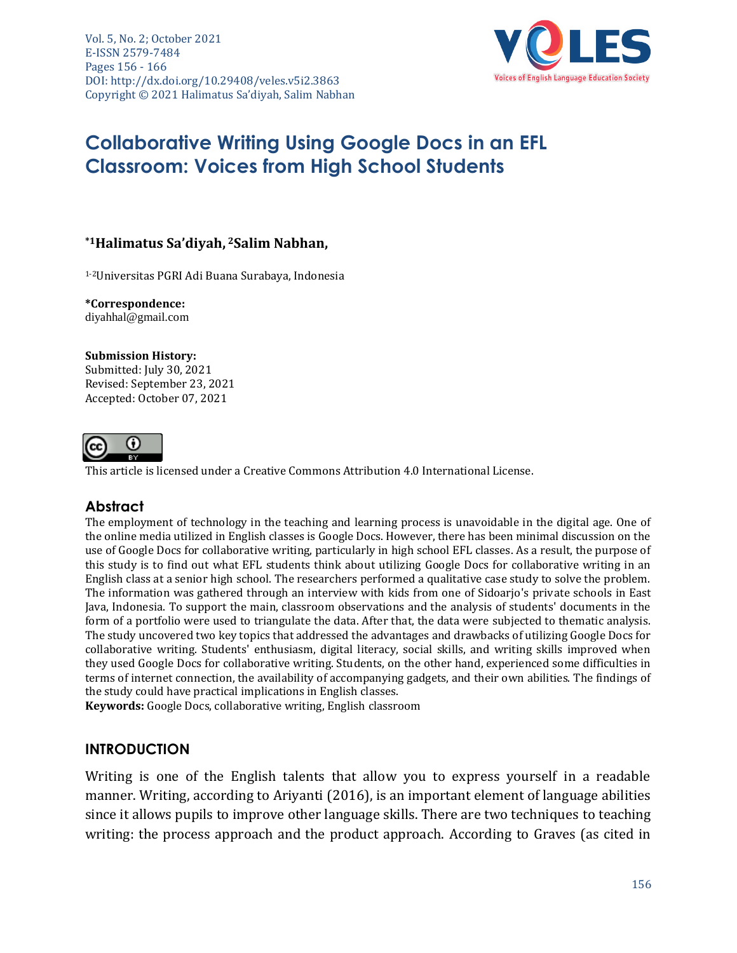Vol. 5, No. 2; October 2021 E-ISSN 2579-7484 Pages 156 - 166 DOI: http://dx.doi.org/10.29408/veles.v5i2.3863 Copyright © 2021 Halimatus Sa'diyah, Salim Nabhan



# **Collaborative Writing Using Google Docs in an EFL Classroom: Voices from High School Students**

# **\*1Halimatus Sa'diyah, <sup>2</sup>Salim Nabhan,**

1-2Universitas PGRI Adi Buana Surabaya, Indonesia

**\*Correspondence:** [diyahhal@gmail.com](mailto:diyahhal@gmail.com)

#### **Submission History:**

Submitted: July 30, 2021 Revised: September 23, 2021 Accepted: October 07, 2021



This article is licensed under a [Creative Commons Attribution 4.0 International License.](https://creativecommons.org/licenses/by/4.0/)

# **Abstract**

The employment of technology in the teaching and learning process is unavoidable in the digital age. One of the online media utilized in English classes is Google Docs. However, there has been minimal discussion on the use of Google Docs for collaborative writing, particularly in high school EFL classes. As a result, the purpose of this study is to find out what EFL students think about utilizing Google Docs for collaborative writing in an English class at a senior high school. The researchers performed a qualitative case study to solve the problem. The information was gathered through an interview with kids from one of Sidoarjo's private schools in East Java, Indonesia. To support the main, classroom observations and the analysis of students' documents in the form of a portfolio were used to triangulate the data. After that, the data were subjected to thematic analysis. The study uncovered two key topics that addressed the advantages and drawbacks of utilizing Google Docs for collaborative writing. Students' enthusiasm, digital literacy, social skills, and writing skills improved when they used Google Docs for collaborative writing. Students, on the other hand, experienced some difficulties in terms of internet connection, the availability of accompanying gadgets, and their own abilities. The findings of the study could have practical implications in English classes.

**Keywords:** Google Docs, collaborative writing, English classroom

# **INTRODUCTION**

Writing is one of the English talents that allow you to express yourself in a readable manner. Writing, according to Ariyanti (2016), is an important element of language abilities since it allows pupils to improve other language skills. There are two techniques to teaching writing: the process approach and the product approach. According to Graves (as cited in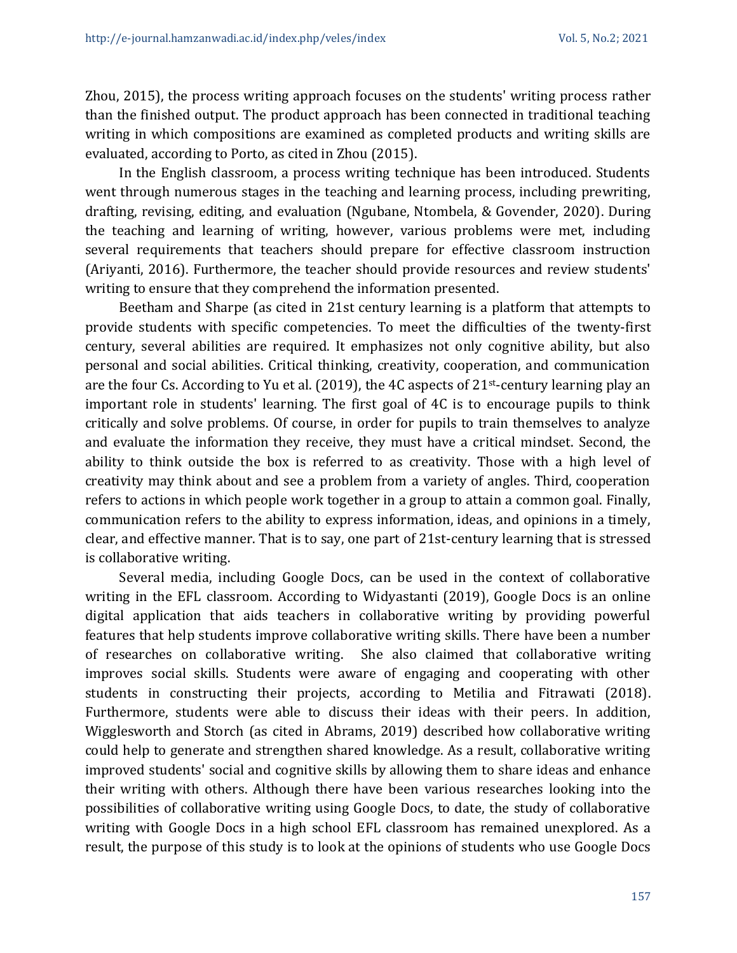Zhou, 2015), the process writing approach focuses on the students' writing process rather than the finished output. The product approach has been connected in traditional teaching writing in which compositions are examined as completed products and writing skills are evaluated, according to Porto, as cited in Zhou (2015).

In the English classroom, a process writing technique has been introduced. Students went through numerous stages in the teaching and learning process, including prewriting, drafting, revising, editing, and evaluation (Ngubane, Ntombela, & Govender, 2020). During the teaching and learning of writing, however, various problems were met, including several requirements that teachers should prepare for effective classroom instruction (Ariyanti, 2016). Furthermore, the teacher should provide resources and review students' writing to ensure that they comprehend the information presented.

Beetham and Sharpe (as cited in 21st century learning is a platform that attempts to provide students with specific competencies. To meet the difficulties of the twenty-first century, several abilities are required. It emphasizes not only cognitive ability, but also personal and social abilities. Critical thinking, creativity, cooperation, and communication are the four Cs. According to Yu et al. (2019), the 4C aspects of 21st-century learning play an important role in students' learning. The first goal of 4C is to encourage pupils to think critically and solve problems. Of course, in order for pupils to train themselves to analyze and evaluate the information they receive, they must have a critical mindset. Second, the ability to think outside the box is referred to as creativity. Those with a high level of creativity may think about and see a problem from a variety of angles. Third, cooperation refers to actions in which people work together in a group to attain a common goal. Finally, communication refers to the ability to express information, ideas, and opinions in a timely, clear, and effective manner. That is to say, one part of 21st-century learning that is stressed is collaborative writing.

Several media, including Google Docs, can be used in the context of collaborative writing in the EFL classroom. According to Widyastanti (2019), Google Docs is an online digital application that aids teachers in collaborative writing by providing powerful features that help students improve collaborative writing skills. There have been a number of researches on collaborative writing. She also claimed that collaborative writing improves social skills. Students were aware of engaging and cooperating with other students in constructing their projects, according to Metilia and Fitrawati (2018). Furthermore, students were able to discuss their ideas with their peers. In addition, Wigglesworth and Storch (as cited in Abrams, 2019) described how collaborative writing could help to generate and strengthen shared knowledge. As a result, collaborative writing improved students' social and cognitive skills by allowing them to share ideas and enhance their writing with others. Although there have been various researches looking into the possibilities of collaborative writing using Google Docs, to date, the study of collaborative writing with Google Docs in a high school EFL classroom has remained unexplored. As a result, the purpose of this study is to look at the opinions of students who use Google Docs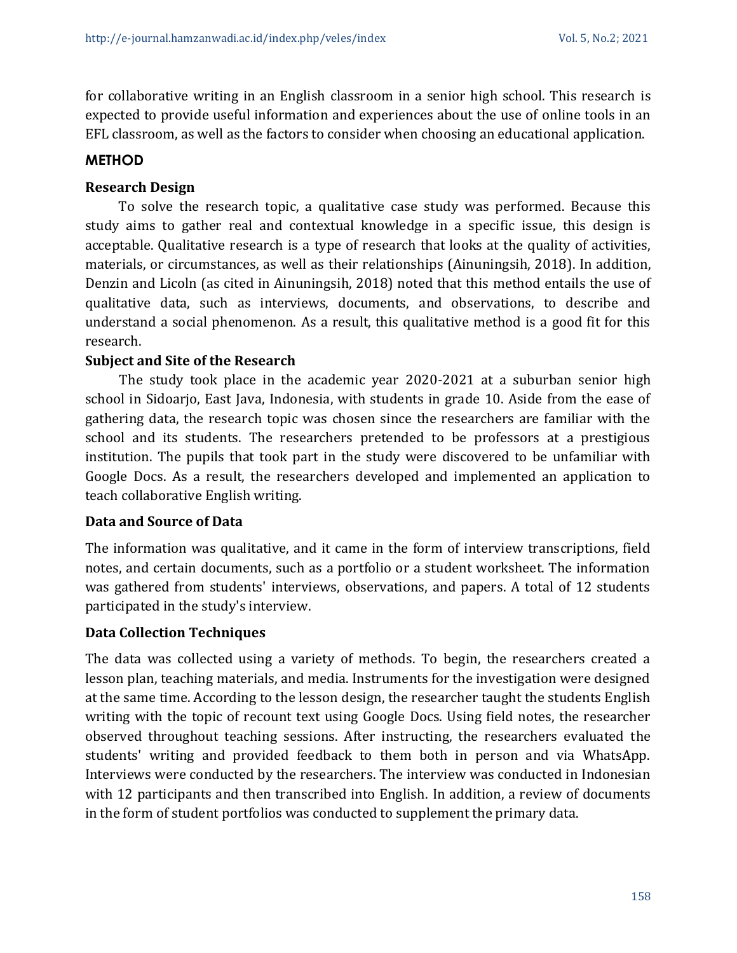for collaborative writing in an English classroom in a senior high school. This research is expected to provide useful information and experiences about the use of online tools in an EFL classroom, as well as the factors to consider when choosing an educational application.

# **METHOD**

# **Research Design**

To solve the research topic, a qualitative case study was performed. Because this study aims to gather real and contextual knowledge in a specific issue, this design is acceptable. Qualitative research is a type of research that looks at the quality of activities, materials, or circumstances, as well as their relationships (Ainuningsih, 2018). In addition, Denzin and Licoln (as cited in Ainuningsih, 2018) noted that this method entails the use of qualitative data, such as interviews, documents, and observations, to describe and understand a social phenomenon. As a result, this qualitative method is a good fit for this research.

# **Subject and Site of the Research**

The study took place in the academic year 2020-2021 at a suburban senior high school in Sidoarjo, East Java, Indonesia, with students in grade 10. Aside from the ease of gathering data, the research topic was chosen since the researchers are familiar with the school and its students. The researchers pretended to be professors at a prestigious institution. The pupils that took part in the study were discovered to be unfamiliar with Google Docs. As a result, the researchers developed and implemented an application to teach collaborative English writing.

# **Data and Source of Data**

The information was qualitative, and it came in the form of interview transcriptions, field notes, and certain documents, such as a portfolio or a student worksheet. The information was gathered from students' interviews, observations, and papers. A total of 12 students participated in the study's interview.

# **Data Collection Techniques**

The data was collected using a variety of methods. To begin, the researchers created a lesson plan, teaching materials, and media. Instruments for the investigation were designed at the same time. According to the lesson design, the researcher taught the students English writing with the topic of recount text using Google Docs. Using field notes, the researcher observed throughout teaching sessions. After instructing, the researchers evaluated the students' writing and provided feedback to them both in person and via WhatsApp. Interviews were conducted by the researchers. The interview was conducted in Indonesian with 12 participants and then transcribed into English. In addition, a review of documents in the form of student portfolios was conducted to supplement the primary data.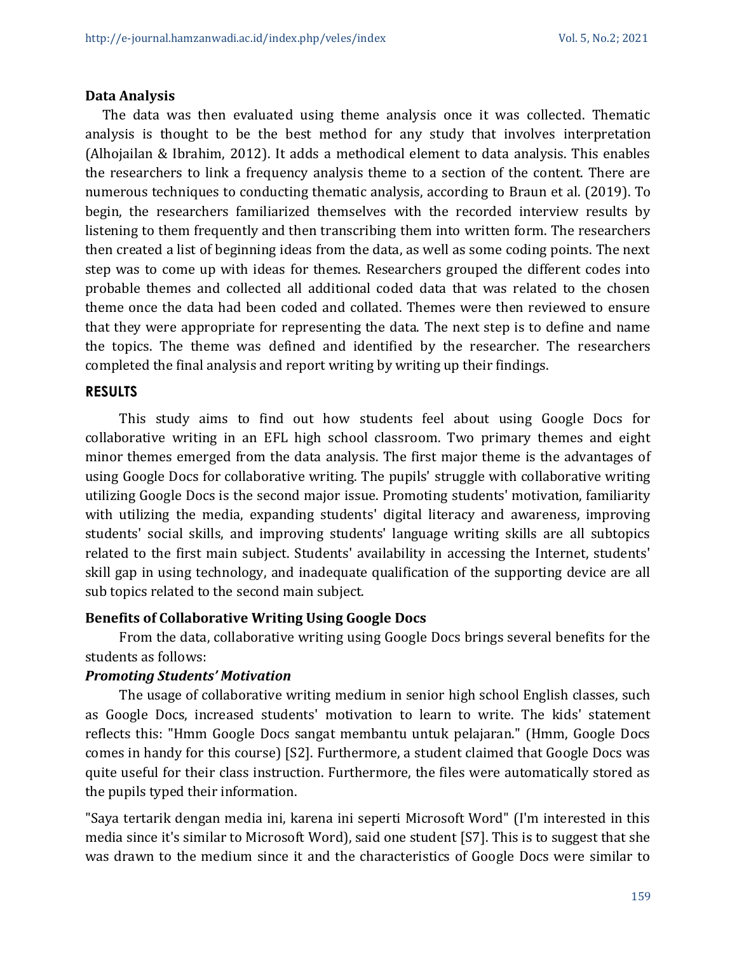#### **Data Analysis**

The data was then evaluated using theme analysis once it was collected. Thematic analysis is thought to be the best method for any study that involves interpretation (Alhojailan & Ibrahim, 2012). It adds a methodical element to data analysis. This enables the researchers to link a frequency analysis theme to a section of the content. There are numerous techniques to conducting thematic analysis, according to Braun et al. (2019). To begin, the researchers familiarized themselves with the recorded interview results by listening to them frequently and then transcribing them into written form. The researchers then created a list of beginning ideas from the data, as well as some coding points. The next step was to come up with ideas for themes. Researchers grouped the different codes into probable themes and collected all additional coded data that was related to the chosen theme once the data had been coded and collated. Themes were then reviewed to ensure that they were appropriate for representing the data. The next step is to define and name the topics. The theme was defined and identified by the researcher. The researchers completed the final analysis and report writing by writing up their findings.

#### **RESULTS**

This study aims to find out how students feel about using Google Docs for collaborative writing in an EFL high school classroom. Two primary themes and eight minor themes emerged from the data analysis. The first major theme is the advantages of using Google Docs for collaborative writing. The pupils' struggle with collaborative writing utilizing Google Docs is the second major issue. Promoting students' motivation, familiarity with utilizing the media, expanding students' digital literacy and awareness, improving students' social skills, and improving students' language writing skills are all subtopics related to the first main subject. Students' availability in accessing the Internet, students' skill gap in using technology, and inadequate qualification of the supporting device are all sub topics related to the second main subject.

# **Benefits of Collaborative Writing Using Google Docs**

From the data, collaborative writing using Google Docs brings several benefits for the students as follows:

# *Promoting Students' Motivation*

The usage of collaborative writing medium in senior high school English classes, such as Google Docs, increased students' motivation to learn to write. The kids' statement reflects this: "Hmm Google Docs sangat membantu untuk pelajaran." (Hmm, Google Docs comes in handy for this course) [S2]. Furthermore, a student claimed that Google Docs was quite useful for their class instruction. Furthermore, the files were automatically stored as the pupils typed their information.

"Saya tertarik dengan media ini, karena ini seperti Microsoft Word" (I'm interested in this media since it's similar to Microsoft Word), said one student [S7]. This is to suggest that she was drawn to the medium since it and the characteristics of Google Docs were similar to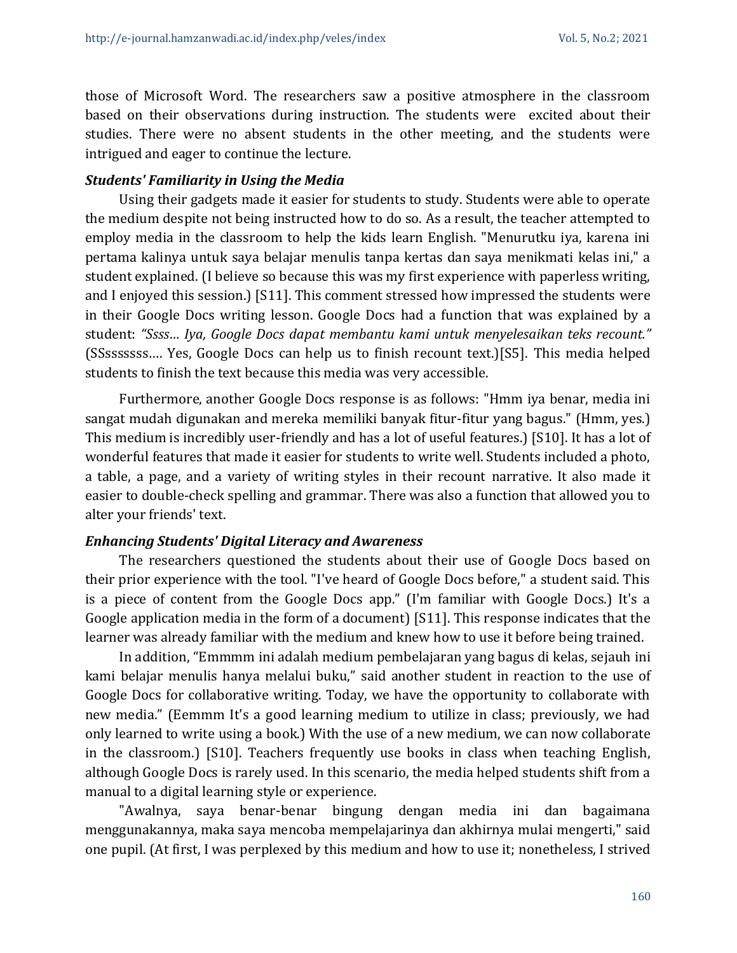those of Microsoft Word. The researchers saw a positive atmosphere in the classroom based on their observations during instruction. The students were excited about their studies. There were no absent students in the other meeting, and the students were intrigued and eager to continue the lecture.

#### *Students' Familiarity in Using the Media*

Using their gadgets made it easier for students to study. Students were able to operate the medium despite not being instructed how to do so. As a result, the teacher attempted to employ media in the classroom to help the kids learn English. "Menurutku iya, karena ini pertama kalinya untuk saya belajar menulis tanpa kertas dan saya menikmati kelas ini," a student explained. (I believe so because this was my first experience with paperless writing, and I enjoyed this session.) [S11]. This comment stressed how impressed the students were in their Google Docs writing lesson. Google Docs had a function that was explained by a student: *"Ssss… Iya, Google Docs dapat membantu kami untuk menyelesaikan teks recount."* (SSsssssss…. Yes, Google Docs can help us to finish recount text.)[S5]. This media helped students to finish the text because this media was very accessible.

Furthermore, another Google Docs response is as follows: "Hmm iya benar, media ini sangat mudah digunakan and mereka memiliki banyak fitur-fitur yang bagus." (Hmm, yes.) This medium is incredibly user-friendly and has a lot of useful features.) [S10]. It has a lot of wonderful features that made it easier for students to write well. Students included a photo, a table, a page, and a variety of writing styles in their recount narrative. It also made it easier to double-check spelling and grammar. There was also a function that allowed you to alter your friends' text.

#### *Enhancing Students' Digital Literacy and Awareness*

The researchers questioned the students about their use of Google Docs based on their prior experience with the tool. "I've heard of Google Docs before," a student said. This is a piece of content from the Google Docs app." (I'm familiar with Google Docs.) It's a Google application media in the form of a document) [S11]. This response indicates that the learner was already familiar with the medium and knew how to use it before being trained.

In addition, "Emmmm ini adalah medium pembelajaran yang bagus di kelas, sejauh ini kami belajar menulis hanya melalui buku," said another student in reaction to the use of Google Docs for collaborative writing. Today, we have the opportunity to collaborate with new media." (Eemmm It's a good learning medium to utilize in class; previously, we had only learned to write using a book.) With the use of a new medium, we can now collaborate in the classroom.) [S10]. Teachers frequently use books in class when teaching English, although Google Docs is rarely used. In this scenario, the media helped students shift from a manual to a digital learning style or experience.

"Awalnya, saya benar-benar bingung dengan media ini dan bagaimana menggunakannya, maka saya mencoba mempelajarinya dan akhirnya mulai mengerti," said one pupil. (At first, I was perplexed by this medium and how to use it; nonetheless, I strived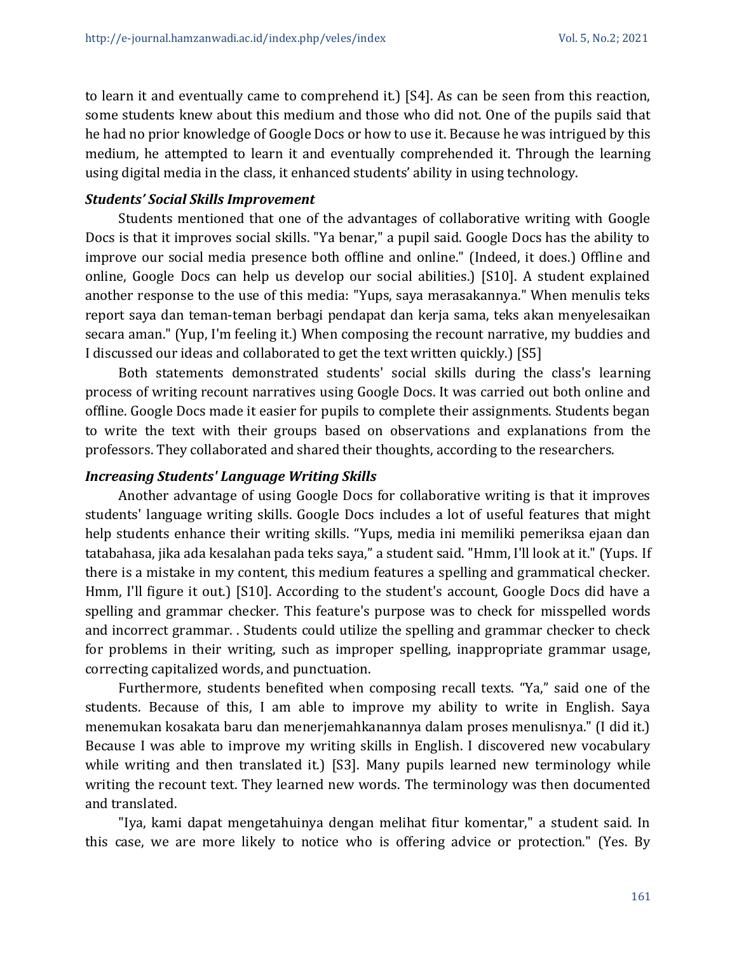to learn it and eventually came to comprehend it.) [S4]. As can be seen from this reaction, some students knew about this medium and those who did not. One of the pupils said that he had no prior knowledge of Google Docs or how to use it. Because he was intrigued by this medium, he attempted to learn it and eventually comprehended it. Through the learning using digital media in the class, it enhanced students' ability in using technology.

#### *Students' Social Skills Improvement*

Students mentioned that one of the advantages of collaborative writing with Google Docs is that it improves social skills. "Ya benar," a pupil said. Google Docs has the ability to improve our social media presence both offline and online." (Indeed, it does.) Offline and online, Google Docs can help us develop our social abilities.) [S10]. A student explained another response to the use of this media: "Yups, saya merasakannya." When menulis teks report saya dan teman-teman berbagi pendapat dan kerja sama, teks akan menyelesaikan secara aman." (Yup, I'm feeling it.) When composing the recount narrative, my buddies and I discussed our ideas and collaborated to get the text written quickly.) [S5]

Both statements demonstrated students' social skills during the class's learning process of writing recount narratives using Google Docs. It was carried out both online and offline. Google Docs made it easier for pupils to complete their assignments. Students began to write the text with their groups based on observations and explanations from the professors. They collaborated and shared their thoughts, according to the researchers.

#### *Increasing Students' Language Writing Skills*

Another advantage of using Google Docs for collaborative writing is that it improves students' language writing skills. Google Docs includes a lot of useful features that might help students enhance their writing skills. "Yups, media ini memiliki pemeriksa ejaan dan tatabahasa, jika ada kesalahan pada teks saya," a student said. "Hmm, I'll look at it." (Yups. If there is a mistake in my content, this medium features a spelling and grammatical checker. Hmm, I'll figure it out.) [S10]. According to the student's account, Google Docs did have a spelling and grammar checker. This feature's purpose was to check for misspelled words and incorrect grammar. . Students could utilize the spelling and grammar checker to check for problems in their writing, such as improper spelling, inappropriate grammar usage, correcting capitalized words, and punctuation.

Furthermore, students benefited when composing recall texts. "Ya," said one of the students. Because of this, I am able to improve my ability to write in English. Saya menemukan kosakata baru dan menerjemahkanannya dalam proses menulisnya." (I did it.) Because I was able to improve my writing skills in English. I discovered new vocabulary while writing and then translated it.) [S3]. Many pupils learned new terminology while writing the recount text. They learned new words. The terminology was then documented and translated.

"Iya, kami dapat mengetahuinya dengan melihat fitur komentar," a student said. In this case, we are more likely to notice who is offering advice or protection." (Yes. By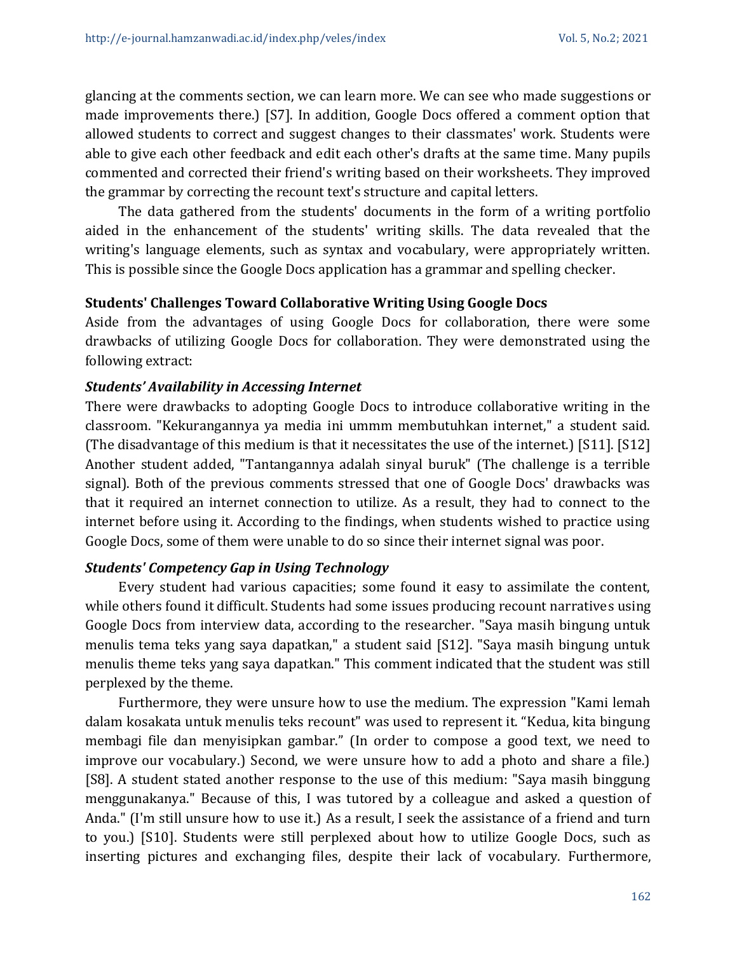glancing at the comments section, we can learn more. We can see who made suggestions or made improvements there.) [S7]. In addition, Google Docs offered a comment option that allowed students to correct and suggest changes to their classmates' work. Students were able to give each other feedback and edit each other's drafts at the same time. Many pupils commented and corrected their friend's writing based on their worksheets. They improved the grammar by correcting the recount text's structure and capital letters.

The data gathered from the students' documents in the form of a writing portfolio aided in the enhancement of the students' writing skills. The data revealed that the writing's language elements, such as syntax and vocabulary, were appropriately written. This is possible since the Google Docs application has a grammar and spelling checker.

#### **Students' Challenges Toward Collaborative Writing Using Google Docs**

Aside from the advantages of using Google Docs for collaboration, there were some drawbacks of utilizing Google Docs for collaboration. They were demonstrated using the following extract:

#### *Students' Availability in Accessing Internet*

There were drawbacks to adopting Google Docs to introduce collaborative writing in the classroom. "Kekurangannya ya media ini ummm membutuhkan internet," a student said. (The disadvantage of this medium is that it necessitates the use of the internet.) [S11]. [S12] Another student added, "Tantangannya adalah sinyal buruk" (The challenge is a terrible signal). Both of the previous comments stressed that one of Google Docs' drawbacks was that it required an internet connection to utilize. As a result, they had to connect to the internet before using it. According to the findings, when students wished to practice using Google Docs, some of them were unable to do so since their internet signal was poor.

# *Students' Competency Gap in Using Technology*

Every student had various capacities; some found it easy to assimilate the content, while others found it difficult. Students had some issues producing recount narratives using Google Docs from interview data, according to the researcher. "Saya masih bingung untuk menulis tema teks yang saya dapatkan," a student said [S12]. "Saya masih bingung untuk menulis theme teks yang saya dapatkan." This comment indicated that the student was still perplexed by the theme.

Furthermore, they were unsure how to use the medium. The expression "Kami lemah dalam kosakata untuk menulis teks recount" was used to represent it. "Kedua, kita bingung membagi file dan menyisipkan gambar." (In order to compose a good text, we need to improve our vocabulary.) Second, we were unsure how to add a photo and share a file.) [S8]. A student stated another response to the use of this medium: "Saya masih binggung menggunakanya." Because of this, I was tutored by a colleague and asked a question of Anda." (I'm still unsure how to use it.) As a result, I seek the assistance of a friend and turn to you.) [S10]. Students were still perplexed about how to utilize Google Docs, such as inserting pictures and exchanging files, despite their lack of vocabulary. Furthermore,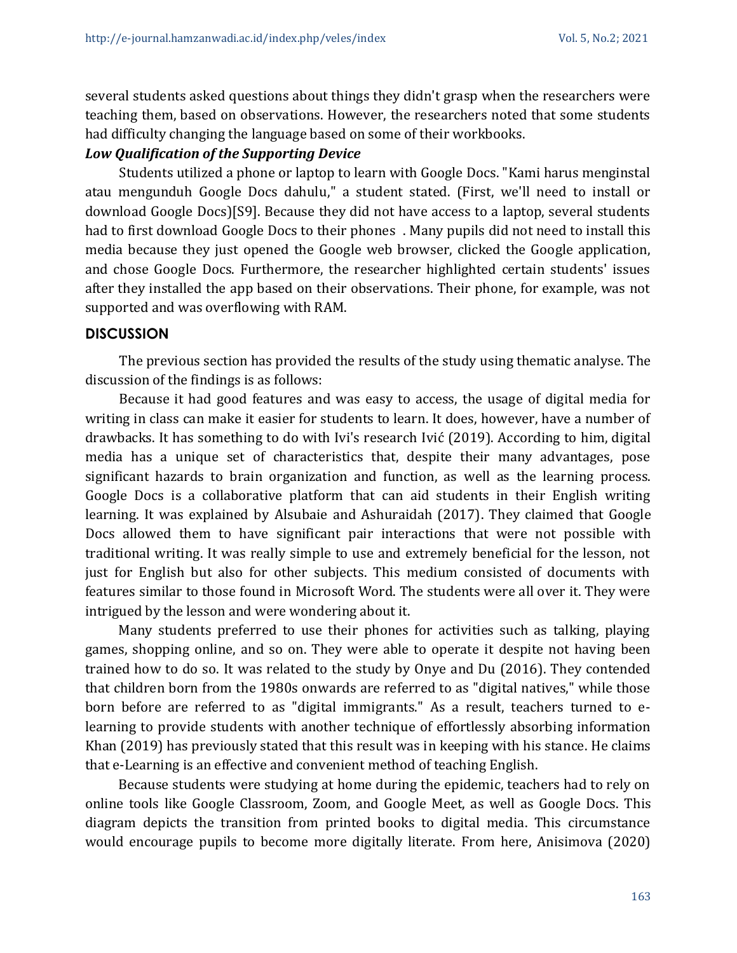several students asked questions about things they didn't grasp when the researchers were teaching them, based on observations. However, the researchers noted that some students had difficulty changing the language based on some of their workbooks.

#### *Low Qualification of the Supporting Device*

Students utilized a phone or laptop to learn with Google Docs. "Kami harus menginstal atau mengunduh Google Docs dahulu," a student stated. (First, we'll need to install or download Google Docs)[S9]. Because they did not have access to a laptop, several students had to first download Google Docs to their phones . Many pupils did not need to install this media because they just opened the Google web browser, clicked the Google application, and chose Google Docs. Furthermore, the researcher highlighted certain students' issues after they installed the app based on their observations. Their phone, for example, was not supported and was overflowing with RAM.

#### **DISCUSSION**

The previous section has provided the results of the study using thematic analyse. The discussion of the findings is as follows:

Because it had good features and was easy to access, the usage of digital media for writing in class can make it easier for students to learn. It does, however, have a number of drawbacks. It has something to do with Ivi's research Ivić (2019). According to him, digital media has a unique set of characteristics that, despite their many advantages, pose significant hazards to brain organization and function, as well as the learning process. Google Docs is a collaborative platform that can aid students in their English writing learning. It was explained by Alsubaie and Ashuraidah (2017). They claimed that Google Docs allowed them to have significant pair interactions that were not possible with traditional writing. It was really simple to use and extremely beneficial for the lesson, not just for English but also for other subjects. This medium consisted of documents with features similar to those found in Microsoft Word. The students were all over it. They were intrigued by the lesson and were wondering about it.

Many students preferred to use their phones for activities such as talking, playing games, shopping online, and so on. They were able to operate it despite not having been trained how to do so. It was related to the study by Onye and Du (2016). They contended that children born from the 1980s onwards are referred to as "digital natives," while those born before are referred to as "digital immigrants." As a result, teachers turned to elearning to provide students with another technique of effortlessly absorbing information Khan (2019) has previously stated that this result was in keeping with his stance. He claims that e-Learning is an effective and convenient method of teaching English.

Because students were studying at home during the epidemic, teachers had to rely on online tools like Google Classroom, Zoom, and Google Meet, as well as Google Docs. This diagram depicts the transition from printed books to digital media. This circumstance would encourage pupils to become more digitally literate. From here, Anisimova (2020)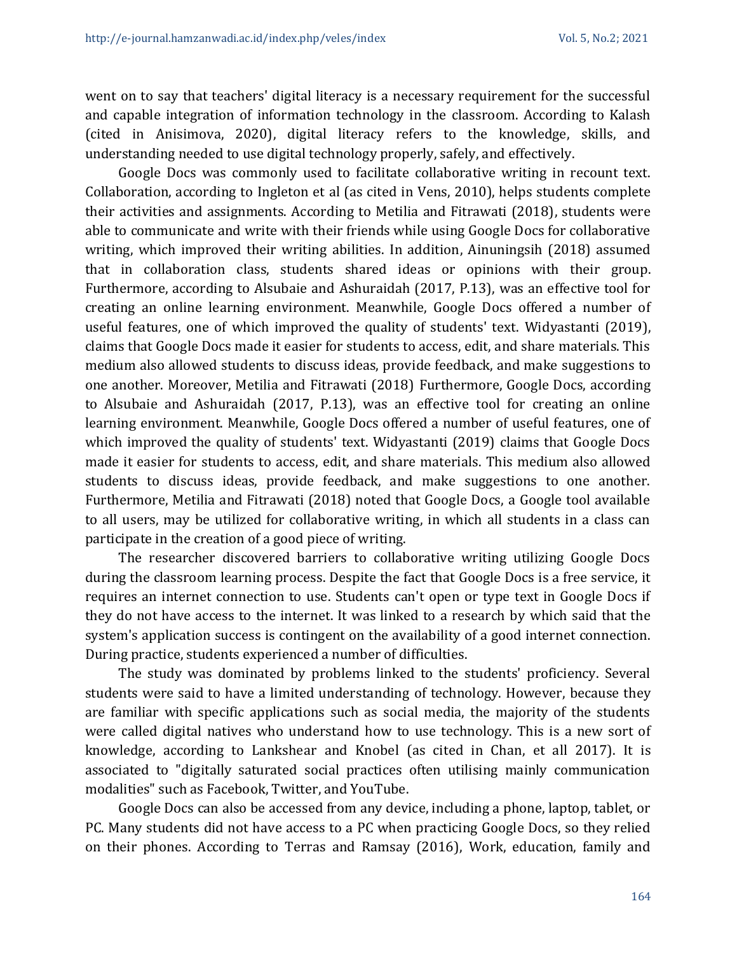went on to say that teachers' digital literacy is a necessary requirement for the successful and capable integration of information technology in the classroom. According to Kalash (cited in Anisimova, 2020), digital literacy refers to the knowledge, skills, and understanding needed to use digital technology properly, safely, and effectively.

Google Docs was commonly used to facilitate collaborative writing in recount text. Collaboration, according to Ingleton et al (as cited in Vens, 2010), helps students complete their activities and assignments. According to Metilia and Fitrawati (2018), students were able to communicate and write with their friends while using Google Docs for collaborative writing, which improved their writing abilities. In addition, Ainuningsih (2018) assumed that in collaboration class, students shared ideas or opinions with their group. Furthermore, according to Alsubaie and Ashuraidah (2017, P.13), was an effective tool for creating an online learning environment. Meanwhile, Google Docs offered a number of useful features, one of which improved the quality of students' text. Widyastanti (2019), claims that Google Docs made it easier for students to access, edit, and share materials. This medium also allowed students to discuss ideas, provide feedback, and make suggestions to one another. Moreover, Metilia and Fitrawati (2018) Furthermore, Google Docs, according to Alsubaie and Ashuraidah (2017, P.13), was an effective tool for creating an online learning environment. Meanwhile, Google Docs offered a number of useful features, one of which improved the quality of students' text. Widyastanti (2019) claims that Google Docs made it easier for students to access, edit, and share materials. This medium also allowed students to discuss ideas, provide feedback, and make suggestions to one another. Furthermore, Metilia and Fitrawati (2018) noted that Google Docs, a Google tool available to all users, may be utilized for collaborative writing, in which all students in a class can participate in the creation of a good piece of writing.

The researcher discovered barriers to collaborative writing utilizing Google Docs during the classroom learning process. Despite the fact that Google Docs is a free service, it requires an internet connection to use. Students can't open or type text in Google Docs if they do not have access to the internet. It was linked to a research by which said that the system's application success is contingent on the availability of a good internet connection. During practice, students experienced a number of difficulties.

The study was dominated by problems linked to the students' proficiency. Several students were said to have a limited understanding of technology. However, because they are familiar with specific applications such as social media, the majority of the students were called digital natives who understand how to use technology. This is a new sort of knowledge, according to Lankshear and Knobel (as cited in Chan, et all 2017). It is associated to "digitally saturated social practices often utilising mainly communication modalities" such as Facebook, Twitter, and YouTube.

Google Docs can also be accessed from any device, including a phone, laptop, tablet, or PC. Many students did not have access to a PC when practicing Google Docs, so they relied on their phones. According to Terras and Ramsay (2016), Work, education, family and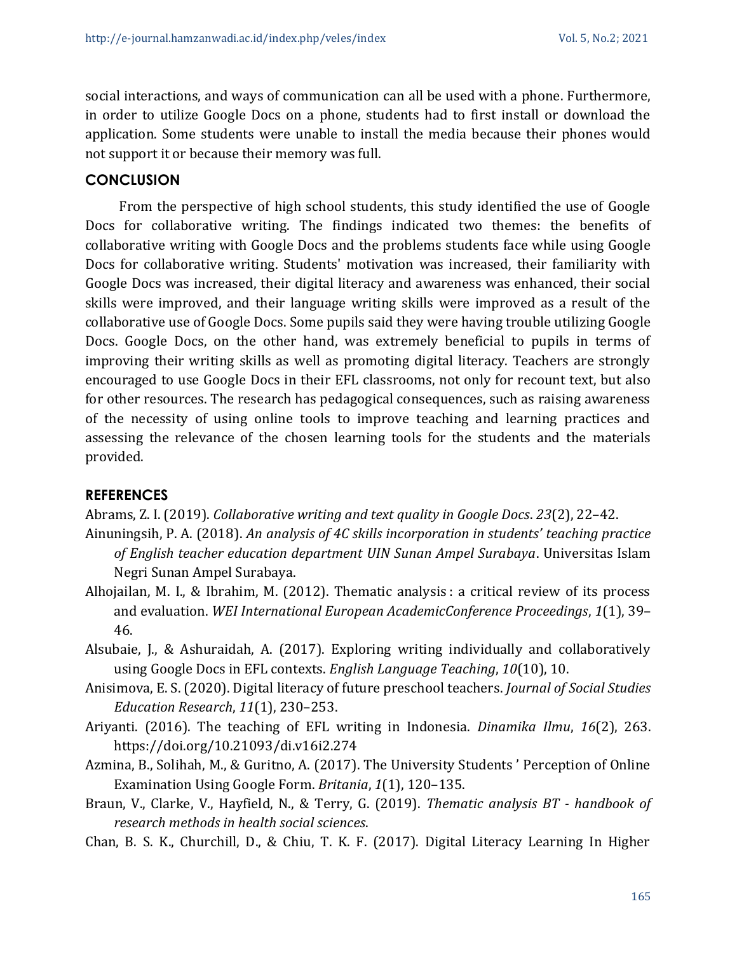social interactions, and ways of communication can all be used with a phone. Furthermore, in order to utilize Google Docs on a phone, students had to first install or download the application. Some students were unable to install the media because their phones would not support it or because their memory was full.

#### **CONCLUSION**

From the perspective of high school students, this study identified the use of Google Docs for collaborative writing. The findings indicated two themes: the benefits of collaborative writing with Google Docs and the problems students face while using Google Docs for collaborative writing. Students' motivation was increased, their familiarity with Google Docs was increased, their digital literacy and awareness was enhanced, their social skills were improved, and their language writing skills were improved as a result of the collaborative use of Google Docs. Some pupils said they were having trouble utilizing Google Docs. Google Docs, on the other hand, was extremely beneficial to pupils in terms of improving their writing skills as well as promoting digital literacy. Teachers are strongly encouraged to use Google Docs in their EFL classrooms, not only for recount text, but also for other resources. The research has pedagogical consequences, such as raising awareness of the necessity of using online tools to improve teaching and learning practices and assessing the relevance of the chosen learning tools for the students and the materials provided.

# **REFERENCES**

Abrams, Z. I. (2019). *Collaborative writing and text quality in Google Docs*. *23*(2), 22–42.

- Ainuningsih, P. A. (2018). *An analysis of 4C skills incorporation in students' teaching practice of English teacher education department UIN Sunan Ampel Surabaya*. Universitas Islam Negri Sunan Ampel Surabaya.
- Alhojailan, M. I., & Ibrahim, M. (2012). Thematic analysis : a critical review of its process and evaluation. *WEI International European AcademicConference Proceedings*, *1*(1), 39– 46.
- Alsubaie, J., & Ashuraidah, A. (2017). Exploring writing individually and collaboratively using Google Docs in EFL contexts. *English Language Teaching*, *10*(10), 10.
- Anisimova, E. S. (2020). Digital literacy of future preschool teachers. *Journal of Social Studies Education Research*, *11*(1), 230–253.
- Ariyanti. (2016). The teaching of EFL writing in Indonesia. *Dinamika Ilmu*, *16*(2), 263. https://doi.org/10.21093/di.v16i2.274
- Azmina, B., Solihah, M., & Guritno, A. (2017). The University Students ' Perception of Online Examination Using Google Form. *Britania*, *1*(1), 120–135.
- Braun, V., Clarke, V., Hayfield, N., & Terry, G. (2019). *Thematic analysis BT - handbook of research methods in health social sciences*.
- Chan, B. S. K., Churchill, D., & Chiu, T. K. F. (2017). Digital Literacy Learning In Higher